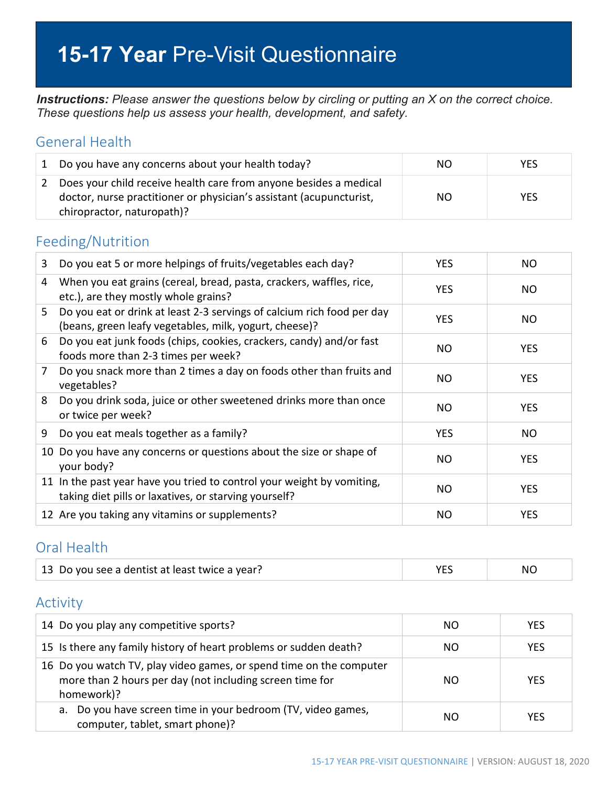# **15-17 Year** Pre-Visit Questionnaire

*Instructions: Please answer the questions below by circling or putting an X on the correct choice. These questions help us assess your health, development, and safety.*

#### General Health

| 1 Do you have any concerns about your health today?                                                                                                                    | NO. | YES. |
|------------------------------------------------------------------------------------------------------------------------------------------------------------------------|-----|------|
| Does your child receive health care from anyone besides a medical<br>doctor, nurse practitioner or physician's assistant (acupuncturist,<br>chiropractor, naturopath)? | NO. | YES  |

### Feeding/Nutrition

| 3  | Do you eat 5 or more helpings of fruits/vegetables each day?                                                                     | <b>YES</b> | NO.        |
|----|----------------------------------------------------------------------------------------------------------------------------------|------------|------------|
| 4  | When you eat grains (cereal, bread, pasta, crackers, waffles, rice,<br>etc.), are they mostly whole grains?                      | <b>YES</b> | <b>NO</b>  |
| 5. | Do you eat or drink at least 2-3 servings of calcium rich food per day<br>(beans, green leafy vegetables, milk, yogurt, cheese)? | <b>YES</b> | NO.        |
| 6  | Do you eat junk foods (chips, cookies, crackers, candy) and/or fast<br>foods more than 2-3 times per week?                       | NO         | <b>YES</b> |
| 7  | Do you snack more than 2 times a day on foods other than fruits and<br>vegetables?                                               | NO         | <b>YES</b> |
| 8  | Do you drink soda, juice or other sweetened drinks more than once<br>or twice per week?                                          | NO         | <b>YES</b> |
| 9  | Do you eat meals together as a family?                                                                                           | <b>YES</b> | NO.        |
|    | 10 Do you have any concerns or questions about the size or shape of<br>your body?                                                | NO         | <b>YES</b> |
|    | 11 In the past year have you tried to control your weight by vomiting,<br>taking diet pills or laxatives, or starving yourself?  | NO         | <b>YES</b> |
|    | 12 Are you taking any vitamins or supplements?                                                                                   | NO         | <b>YES</b> |

#### Oral Health

| 13 Do you see a dentist at least twice a year? |  | NC. |
|------------------------------------------------|--|-----|
|------------------------------------------------|--|-----|

### Activity

| 14 Do you play any competitive sports?                                                                                                        | NO. | <b>YES</b> |
|-----------------------------------------------------------------------------------------------------------------------------------------------|-----|------------|
| 15 Is there any family history of heart problems or sudden death?                                                                             | NO. | <b>YES</b> |
| 16 Do you watch TV, play video games, or spend time on the computer<br>more than 2 hours per day (not including screen time for<br>homework)? | NO. | <b>YES</b> |
| a. Do you have screen time in your bedroom (TV, video games,<br>computer, tablet, smart phone)?                                               | NO. | YFS        |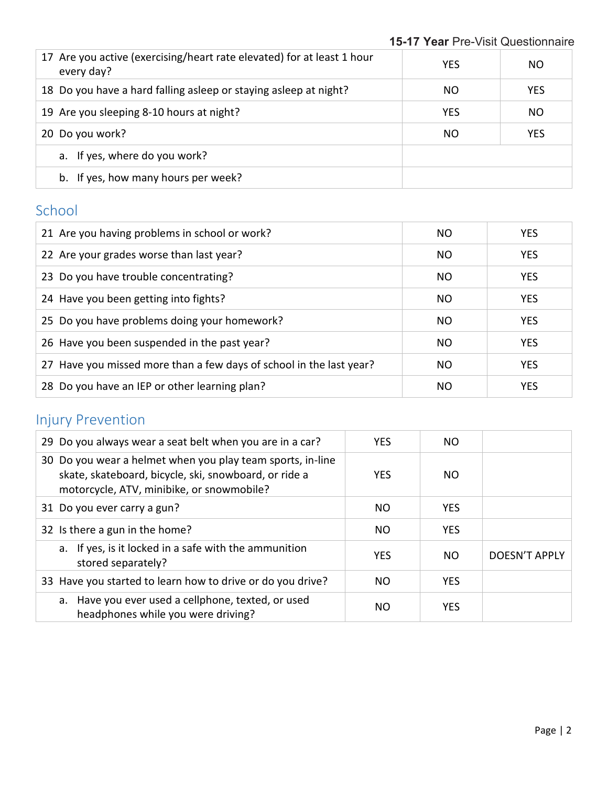| 17 Are you active (exercising/heart rate elevated) for at least 1 hour<br>every day? | <b>YES</b> | NO.        |
|--------------------------------------------------------------------------------------|------------|------------|
| 18 Do you have a hard falling asleep or staying asleep at night?                     | NO.        | <b>YES</b> |
| 19 Are you sleeping 8-10 hours at night?                                             | <b>YES</b> | ΝO         |
| 20 Do you work?                                                                      | NO.        | <b>YES</b> |
| a. If yes, where do you work?                                                        |            |            |
| b. If yes, how many hours per week?                                                  |            |            |

### School

| 21 Are you having problems in school or work?                       | NO.       | <b>YES</b> |
|---------------------------------------------------------------------|-----------|------------|
| 22 Are your grades worse than last year?                            | NO.       | <b>YES</b> |
| 23 Do you have trouble concentrating?                               | NO        | <b>YES</b> |
| 24 Have you been getting into fights?                               | <b>NO</b> | <b>YES</b> |
| 25 Do you have problems doing your homework?                        | NO.       | <b>YES</b> |
| 26 Have you been suspended in the past year?                        | NO.       | <b>YES</b> |
| 27 Have you missed more than a few days of school in the last year? | NO.       | <b>YES</b> |
| 28 Do you have an IEP or other learning plan?                       | NO.       | <b>YES</b> |

# Injury Prevention

| 29 Do you always wear a seat belt when you are in a car?                                                                                                         | YES.       | NO.        |               |
|------------------------------------------------------------------------------------------------------------------------------------------------------------------|------------|------------|---------------|
| 30 Do you wear a helmet when you play team sports, in-line<br>skate, skateboard, bicycle, ski, snowboard, or ride a<br>motorcycle, ATV, minibike, or snowmobile? | <b>YES</b> | NO.        |               |
| 31 Do you ever carry a gun?                                                                                                                                      | NO.        | <b>YES</b> |               |
| 32 Is there a gun in the home?                                                                                                                                   | NO.        | <b>YES</b> |               |
| a. If yes, is it locked in a safe with the ammunition<br>stored separately?                                                                                      | <b>YES</b> | NO.        | DOESN'T APPLY |
| 33 Have you started to learn how to drive or do you drive?                                                                                                       | NO.        | <b>YES</b> |               |
| a. Have you ever used a cellphone, texted, or used<br>headphones while you were driving?                                                                         | NO.        | <b>YES</b> |               |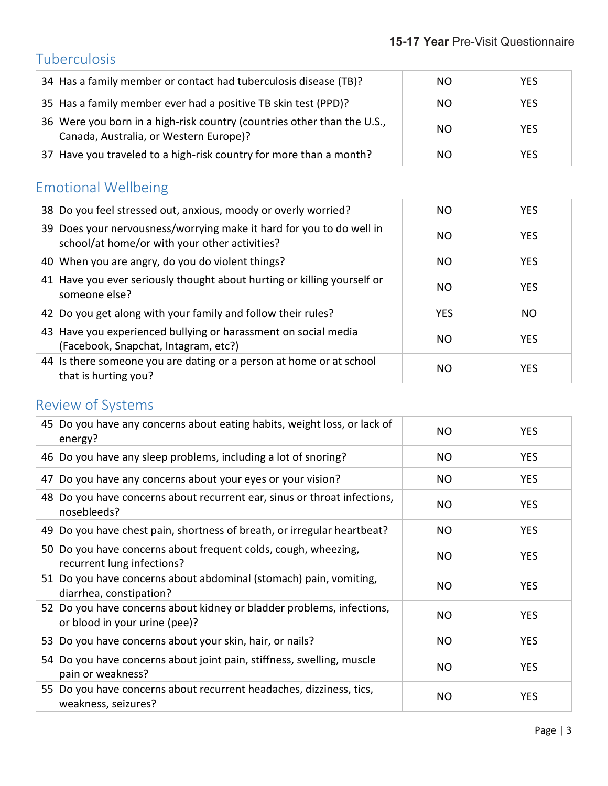## Tuberculosis

| 34 Has a family member or contact had tuberculosis disease (TB)?                                                  | NO. | <b>YES</b> |
|-------------------------------------------------------------------------------------------------------------------|-----|------------|
| 35 Has a family member ever had a positive TB skin test (PPD)?                                                    | NO. | <b>YES</b> |
| 36 Were you born in a high-risk country (countries other than the U.S.,<br>Canada, Australia, or Western Europe)? | NO. | <b>YES</b> |
| 37 Have you traveled to a high-risk country for more than a month?                                                | NO. | <b>YES</b> |

# Emotional Wellbeing

| 38 Do you feel stressed out, anxious, moody or overly worried?                                                        | NO.        | <b>YES</b> |
|-----------------------------------------------------------------------------------------------------------------------|------------|------------|
| 39 Does your nervousness/worrying make it hard for you to do well in<br>school/at home/or with your other activities? | NO.        | <b>YES</b> |
| 40 When you are angry, do you do violent things?                                                                      | NO.        | <b>YES</b> |
| 41 Have you ever seriously thought about hurting or killing yourself or<br>someone else?                              | NO.        | <b>YES</b> |
| 42 Do you get along with your family and follow their rules?                                                          | <b>YES</b> | NO.        |
| 43 Have you experienced bullying or harassment on social media<br>(Facebook, Snapchat, Intagram, etc?)                | NO.        | <b>YES</b> |
| 44 Is there someone you are dating or a person at home or at school<br>that is hurting you?                           | NO.        | <b>YES</b> |

## Review of Systems

| 45 Do you have any concerns about eating habits, weight loss, or lack of<br>energy?                    | NO.       | <b>YES</b> |
|--------------------------------------------------------------------------------------------------------|-----------|------------|
| 46 Do you have any sleep problems, including a lot of snoring?                                         | <b>NO</b> | <b>YES</b> |
| 47 Do you have any concerns about your eyes or your vision?                                            | NO.       | <b>YES</b> |
| 48 Do you have concerns about recurrent ear, sinus or throat infections,<br>nosebleeds?                | NO        | <b>YES</b> |
| 49 Do you have chest pain, shortness of breath, or irregular heartbeat?                                | <b>NO</b> | <b>YES</b> |
| 50 Do you have concerns about frequent colds, cough, wheezing,<br>recurrent lung infections?           | NO        | <b>YES</b> |
| 51 Do you have concerns about abdominal (stomach) pain, vomiting,<br>diarrhea, constipation?           | <b>NO</b> | <b>YES</b> |
| 52 Do you have concerns about kidney or bladder problems, infections,<br>or blood in your urine (pee)? | NO.       | <b>YES</b> |
| 53 Do you have concerns about your skin, hair, or nails?                                               | <b>NO</b> | <b>YES</b> |
| 54 Do you have concerns about joint pain, stiffness, swelling, muscle<br>pain or weakness?             | <b>NO</b> | <b>YES</b> |
| 55 Do you have concerns about recurrent headaches, dizziness, tics,<br>weakness, seizures?             | <b>NO</b> | <b>YES</b> |